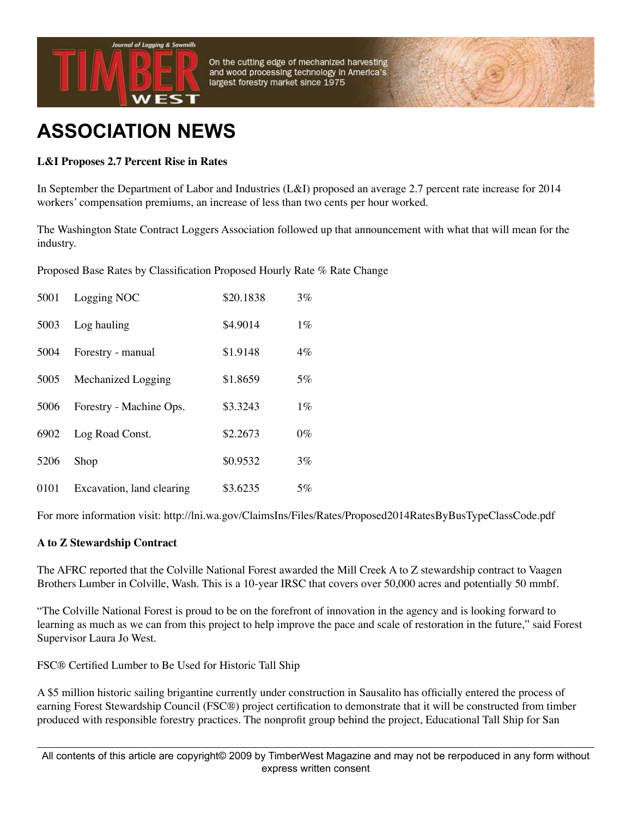

On the cutting edge of mechanized harvesting and wood processing technology in America's largest forestry market since 1975

## **ASSOCIATION NEWS**

## **L&I Proposes 2.7 Percent Rise in Rates**

In September the Department of Labor and Industries (L&I) proposed an average 2.7 percent rate increase for 2014 workers' compensation premiums, an increase of less than two cents per hour worked.

The Washington State Contract Loggers Association followed up that announcement with what that will mean for the industry.

Proposed Base Rates by Classification Proposed Hourly Rate % Rate Change

| 5001 | Logging NOC               | \$20.1838 | $3\%$ |
|------|---------------------------|-----------|-------|
| 5003 | Log hauling               | \$4.9014  | $1\%$ |
| 5004 | Forestry - manual         | \$1.9148  | $4\%$ |
| 5005 | <b>Mechanized Logging</b> | \$1.8659  | $5\%$ |
| 5006 | Forestry - Machine Ops.   | \$3.3243  | $1\%$ |
| 6902 | Log Road Const.           | \$2.2673  | $0\%$ |
| 5206 | Shop                      | \$0.9532  | $3\%$ |
| 0101 | Excavation, land clearing | \$3.6235  | 5%    |

For more information visit: http://lni.wa.gov/ClaimsIns/Files/Rates/Proposed2014RatesByBusTypeClassCode.pdf

## **A to Z Stewardship Contract**

The AFRC reported that the Colville National Forest awarded the Mill Creek A to Z stewardship contract to Vaagen Brothers Lumber in Colville, Wash. This is a 10-year IRSC that covers over 50,000 acres and potentially 50 mmbf.

"The Colville National Forest is proud to be on the forefront of innovation in the agency and is looking forward to learning as much as we can from this project to help improve the pace and scale of restoration in the future," said Forest Supervisor Laura Jo West.

FSC® Certified Lumber to Be Used for Historic Tall Ship

A \$5 million historic sailing brigantine currently under construction in Sausalito has officially entered the process of earning Forest Stewardship Council (FSC®) project certification to demonstrate that it will be constructed from timber produced with responsible forestry practices. The nonprofit group behind the project, Educational Tall Ship for San